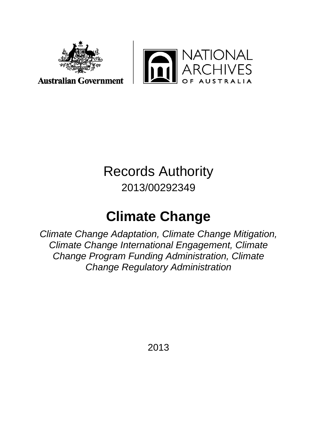



# Records Authority 2013/00292349

# **Climate Change**

*Climate Change Adaptation, Climate Change Mitigation, Climate Change International Engagement, Climate Change Program Funding Administration, Climate Change Regulatory Administration*

2013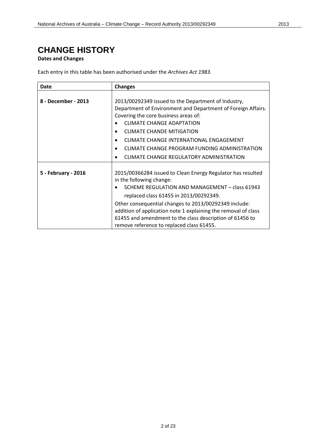## **CHANGE HISTORY**

#### **Dates and Changes**

Each entry in this table has been authorised under the *Archives Act 1983.*

| Date                | <b>Changes</b>                                                                          |
|---------------------|-----------------------------------------------------------------------------------------|
|                     |                                                                                         |
| 8 - December - 2013 | 2013/00292349 issued to the Department of Industry,                                     |
|                     | Department of Environment and Department of Foreign Affairs.                            |
|                     | Covering the core business areas of:                                                    |
|                     | <b>CLIMATE CHANGE ADAPTATION</b>                                                        |
|                     | <b>CLIMATE CHANDE MITIGATION</b><br>$\bullet$                                           |
|                     | CLIMATE CHANGE INTERNATIONAL ENGAGEMENT                                                 |
|                     | CLIMATE CHANGE PROGRAM FUNDING ADMINISTRATION                                           |
|                     | CLIMATE CHANGE REGULATORY ADMINISTRATION<br>٠                                           |
|                     |                                                                                         |
| 5 - February - 2016 | 2015/00366284 issued to Clean Energy Regulator has resulted<br>in the following change: |
|                     | SCHEME REGULATION AND MANAGEMENT - class 61943<br>$\bullet$                             |
|                     | replaced class 61455 in 2013/00292349.                                                  |
|                     | Other consequential changes to 2013/00292349 include:                                   |
|                     | addition of application note 1 explaining the removal of class                          |
|                     | 61455 and amendment to the class description of 61456 to                                |
|                     | remove reference to replaced class 61455.                                               |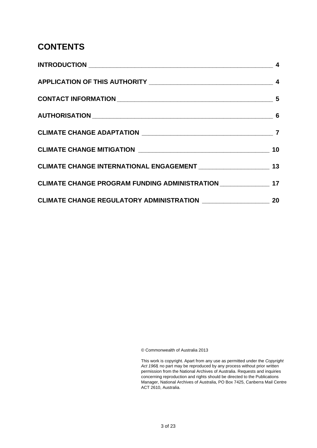#### **CONTENTS**

| CLIMATE CHANGE PROGRAM FUNDING ADMINISTRATION __________________ 17 |  |
|---------------------------------------------------------------------|--|
|                                                                     |  |

© Commonwealth of Australia 2013

This work is copyright. Apart from any use as permitted under the *Copyright Act 1968,* no part may be reproduced by any process without prior written permission from the National Archives of Australia. Requests and inquiries concerning reproduction and rights should be directed to the Publications Manager, National Archives of Australia, PO Box 7425, Canberra Mail Centre ACT 2610, Australia.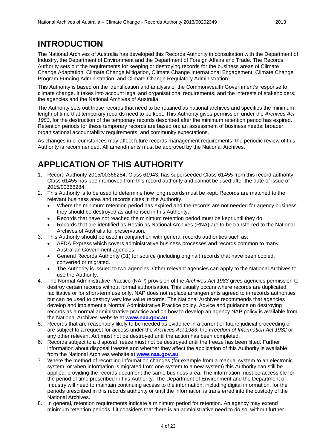#### **INTRODUCTION**

The National Archives of Australia has developed this Records Authority in consultation with the Department of Industry, the Department of Environment and the Department of Foreign Affairs and Trade. The Records Authority sets out the requirements for keeping or destroying records for the business areas of Climate Change Adaptation, Climate Change Mitigation, Climate Change International Engagement, Climate Change Program Funding Administration, and Climate Change Regulatory Administration.

This Authority is based on the identification and analysis of the Commonwealth Government's response to climate change. It takes into account legal and organisational requirements, and the interests of stakeholders, the agencies and the National Archives of Australia.

The Authority sets out those records that need to be retained as national archives and specifies the minimum length of time that temporary records need to be kept. This Authority gives permission under the *Archives Act 1983*, for the destruction of the temporary records described after the minimum retention period has expired. Retention periods for these temporary records are based on: an assessment of business needs; broader organisational accountability requirements; and community expectations.

As changes in circumstances may affect future records management requirements, the periodic review of this Authority is recommended. All amendments must be approved by the National Archives.

# **APPLICATION OF THIS AUTHORITY**

- 1. Record Authority 2015/00366284, Class 61943, has superseeded Class 61455 from this record authority. Class 61455 has been removed from this record authority and cannot be used after the date of issue of 2015/00366284.
- 2. This Authority is to be used to determine how long records must be kept. Records are matched to the relevant business area and records class in the Authority.
	- Where the minimum retention period has expired and the records are not needed for agency business they should be destroyed as authorised in this Authority.
	- Records that have not reached the minimum retention period must be kept until they do.
	- Records that are identified as Retain as National Archives (RNA) are to be transferred to the National Archives of Australia for preservation.
- 3. This Authority should be used in conjunction with general records authorities such as:
	- AFDA Express which covers administrative business processes and records common to many Australian Government agencies;
	- General Records Authority (31) for source (including original) records that have been copied, converted or migrated.
	- The Authority is issued to two agencies. Other relevant agencies can apply to the National Archives to use the Authority.
- 4. The Normal Administrative Practice (NAP) provision of the *Archives Act 1983* gives agencies permission to destroy certain records without formal authorisation. This usually occurs where records are duplicated, facilitative or for short-term use only. NAP does not replace arrangements agreed to in records authorities but can be used to destroy very low value records. The National Archives recommends that agencies develop and implement a Normal Administrative Practice policy. Advice and guidance on destroying records as a normal administrative practice and on how to develop an agency NAP policy is available from the National Archives' website at **[www.naa.gov.au](http://www.naa.gov.au/)**.
- 5. Records that are reasonably likely to be needed as evidence in a current or future judicial proceeding or are subject to a request for access under the *Archives Act 1983*, the *Freedom of Information Act 1982* or any other relevant Act must not be destroyed until the action has been completed.
- 6. Records subject to a disposal freeze must not be destroyed until the freeze has been lifted. Further information about disposal freezes and whether they affect the application of this Authority is available from the National Archives website at **[www.naa.gov.au](http://www.naa.gov.au/)**.
- 7. Where the method of recording information changes (for example from a manual system to an electronic system, or when information is migrated from one system to a new system) this Authority can still be applied, providing the records document the same business area. The information must be accessible for the period of time prescribed in this Authority. The Department of Environment and the Department of Industry will need to maintain continuing access to the information, including digital information, for the periods prescribed in this records authority or until the information is transferred into the custody of the National Archives.
- 8. In general, retention requirements indicate a minimum period for retention. An agency may extend minimum retention periods if it considers that there is an administrative need to do so, without further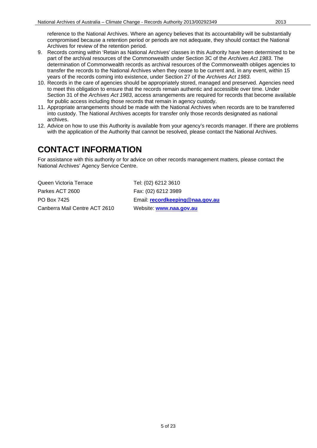reference to the National Archives. Where an agency believes that its accountability will be substantially compromised because a retention period or periods are not adequate, they should contact the National Archives for review of the retention period.

- 9. Records coming within 'Retain as National Archives' classes in this Authority have been determined to be part of the archival resources of the Commonwealth under Section 3C of the *Archives Act 1983*. The determination of Commonwealth records as archival resources of the Commonwealth obliges agencies to transfer the records to the National Archives when they cease to be current and, in any event, within 15 years of the records coming into existence, under Section 27 of the *Archives Act 1983*.
- 10. Records in the care of agencies should be appropriately stored, managed and preserved. Agencies need to meet this obligation to ensure that the records remain authentic and accessible over time. Under Section 31 of the *Archives Act 1983*, access arrangements are required for records that become available for public access including those records that remain in agency custody.
- 11. Appropriate arrangements should be made with the National Archives when records are to be transferred into custody. The National Archives accepts for transfer only those records designated as national archives.
- 12. Advice on how to use this Authority is available from your agency's records manager. If there are problems with the application of the Authority that cannot be resolved, please contact the National Archives.

#### **CONTACT INFORMATION**

For assistance with this authority or for advice on other records management matters, please contact the National Archives' Agency Service Centre.

Queen Victoria Terrace Tel: (02) 6212 3610 Parkes ACT 2600 Fax: (02) 6212 3989 PO Box 7425 Email: **[recordkeeping@naa.gov.au](mailto:recordkeeping@naa.gov.au)** Canberra Mail Centre ACT 2610 Website: **[www.naa.gov.au](http://www.naa.gov.au/)**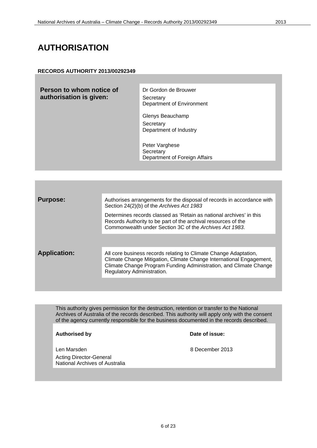#### **AUTHORISATION**

#### **RECORDS AUTHORITY 2013/00292349**

**Person to whom notice of authorisation is given:**

Dr Gordon de Brouwer **Secretary** Department of Environment

Glenys Beauchamp **Secretary** Department of Industry

Peter Varghese **Secretary** Department of Foreign Affairs

| <b>Purpose:</b>     | Authorises arrangements for the disposal of records in accordance with<br>Section 24(2)(b) of the Archives Act 1983                                                                                                                        |
|---------------------|--------------------------------------------------------------------------------------------------------------------------------------------------------------------------------------------------------------------------------------------|
|                     | Determines records classed as 'Retain as national archives' in this<br>Records Authority to be part of the archival resources of the<br>Commonwealth under Section 3C of the Archives Act 1983.                                            |
|                     |                                                                                                                                                                                                                                            |
| <b>Application:</b> | All core business records relating to Climate Change Adaptation,<br>Climate Change Mitigation, Climate Change International Engagement,<br>Climate Change Program Funding Administration, and Climate Change<br>Regulatory Administration. |

This authority gives permission for the destruction, retention or transfer to the National Archives of Australia of the records described. This authority will apply only with the consent of the agency currently responsible for the business documented in the records described.

**Authorised by Date of issue:**

Acting Director-General National Archives of Australia

Len Marsden **8 December 2013**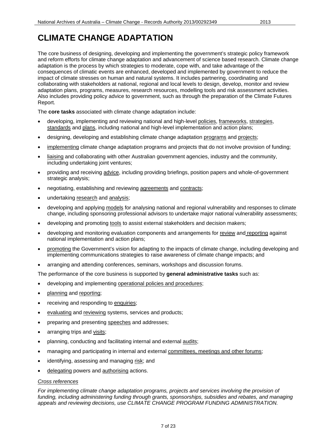# **CLIMATE CHANGE ADAPTATION**

The core business of designing, developing and implementing the government's strategic policy framework and reform efforts for climate change adaptation and advancement of science based research. Climate change adaptation is the process by which strategies to moderate, cope with, and take advantage of the consequences of climatic events are enhanced, developed and implemented by government to reduce the impact of climate stresses on human and natural systems. It includes partnering, coordinating and collaborating with stakeholders at national, regional and local levels to design, develop, monitor and review adaptation plans, programs, measures, research resources, modelling tools and risk assessment activities. Also includes providing policy advice to government, such as through the preparation of the Climate Futures Report.

The **core tasks** associated with climate change adaptation include:

- developing, implementing and reviewing national and high-level policies, frameworks, strategies, standards and plans, including national and high-level implementation and action plans;
- designing, developing and establishing climate change adaptation programs and projects;
- implementing climate change adaptation programs and projects that do not involve provision of funding;
- liaising and collaborating with other Australian government agencies, industry and the community, including undertaking joint ventures;
- providing and receiving advice, including providing briefings, position papers and whole-of-government strategic analysis;
- negotiating, establishing and reviewing agreements and contracts;
- undertaking research and analysis;
- developing and applying models for analysing national and regional vulnerability and responses to climate change, including sponsoring professional advisors to undertake major national vulnerability assessments;
- developing and promoting tools to assist external stakeholders and decision makers;
- developing and monitoring evaluation components and arrangements for review and reporting against national implementation and action plans;
- promoting the Government's vision for adapting to the impacts of climate change, including developing and implementing communications strategies to raise awareness of climate change impacts; and
- arranging and attending conferences, seminars, workshops and discussion forums.

The performance of the core business is supported by **general administrative tasks** such as:

- developing and implementing operational policies and procedures;
- planning and reporting;
- receiving and responding to enquiries;
- evaluating and reviewing systems, services and products;
- preparing and presenting speeches and addresses;
- arranging trips and visits;
- planning, conducting and facilitating internal and external audits;
- managing and participating in internal and external committees, meetings and other forums;
- identifying, assessing and managing risk; and
- delegating powers and authorising actions.

#### *Cross references*

*For implementing climate change adaptation programs, projects and services involving the provision of funding, including administering funding through grants, sponsorships, subsidies and rebates, and managing appeals and reviewing decisions, use CLIMATE CHANGE PROGRAM FUNDING ADMINISTRATION.*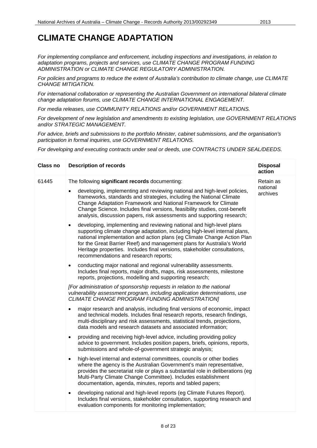# **CLIMATE CHANGE ADAPTATION**

*For implementing compliance and enforcement, including inspections and investigations, in relation to adaptation programs, projects and services, use CLIMATE CHANGE PROGRAM FUNDING ADMINISTRATION or CLIMATE CHANGE REGULATORY ADMINISTRATION.*

*For policies and programs to reduce the extent of Australia's contribution to climate change, use CLIMATE CHANGE MITIGATION.*

*For international collaboration or representing the Australian Government on international bilateral climate change adaptation forums, use CLIMATE CHANGE INTERNATIONAL ENGAGEMENT.*

*For media releases, use COMMUNITY RELATIONS and/or GOVERNMENT RELATIONS.*

*For development of new legislation and amendments to existing legislation, use GOVERNMENT RELATIONS and/or STRATEGIC MANAGEMENT.*

*For advice, briefs and submissions to the portfolio Minister, cabinet submissions, and the organisation's participation in formal inquiries, use GOVERNMENT RELATIONS.*

| <b>Class no</b> | <b>Description of records</b>                                                                                                                                                                                                                                                                                                                                                                                                             | <b>Disposal</b><br>action |
|-----------------|-------------------------------------------------------------------------------------------------------------------------------------------------------------------------------------------------------------------------------------------------------------------------------------------------------------------------------------------------------------------------------------------------------------------------------------------|---------------------------|
| 61445           | The following significant records documenting:                                                                                                                                                                                                                                                                                                                                                                                            | Retain as                 |
|                 | developing, implementing and reviewing national and high-level policies,<br>frameworks, standards and strategies, including the National Climate<br>Change Adaptation Framework and National Framework for Climate<br>Change Science. Includes final versions, feasibility studies, cost-benefit<br>analysis, discussion papers, risk assessments and supporting research;                                                                | national<br>archives      |
|                 | developing, implementing and reviewing national and high-level plans<br>$\bullet$<br>supporting climate change adaptation, including high-level internal plans,<br>national implementation and action plans (eg Climate Change Action Plan<br>for the Great Barrier Reef) and management plans for Australia's World<br>Heritage properties. Includes final versions, stakeholder consultations,<br>recommendations and research reports; |                           |
|                 | conducting major national and regional vulnerability assessments.<br>$\bullet$<br>Includes final reports, major drafts, maps, risk assessments, milestone<br>reports, projections, modelling and supporting research;                                                                                                                                                                                                                     |                           |
|                 | [For administration of sponsorship requests in relation to the national<br>vulnerability assessment program, including application determinations, use<br>CLIMATE CHANGE PROGRAM FUNDING ADMINISTRATION]                                                                                                                                                                                                                                  |                           |
|                 | major research and analysis, including final versions of economic, impact<br>and technical models. Includes final research reports, research findings,<br>multi-disciplinary and risk assessments, statistical trends, projections,<br>data models and research datasets and associated information;                                                                                                                                      |                           |
|                 | providing and receiving high-level advice, including providing policy<br>$\bullet$<br>advice to government. Includes position papers, briefs, opinions, reports,<br>submissions and whole-of-government strategic analysis;                                                                                                                                                                                                               |                           |
|                 | high-level internal and external committees, councils or other bodies<br>$\bullet$<br>where the agency is the Australian Government's main representative,<br>provides the secretariat role or plays a substantial role in deliberations (eg<br>Multi-Party Climate Change Committee). Includes establishment<br>documentation, agenda, minutes, reports and tabled papers;                                                               |                           |
|                 | developing national and high-level reports (eg Climate Futures Report).<br>٠<br>Includes final versions, stakeholder consultation, supporting research and<br>evaluation components for monitoring implementation;                                                                                                                                                                                                                        |                           |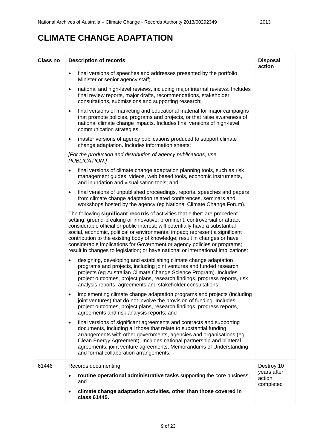# **CLIMATE CHANGE ADAPTATION**

| Class no | <b>Description of records</b>                                                                                                                                                                                                                                                                                                                                                                                                                                                                                                                                            | <b>Disposal</b><br>action          |
|----------|--------------------------------------------------------------------------------------------------------------------------------------------------------------------------------------------------------------------------------------------------------------------------------------------------------------------------------------------------------------------------------------------------------------------------------------------------------------------------------------------------------------------------------------------------------------------------|------------------------------------|
|          | final versions of speeches and addresses presented by the portfolio<br>$\bullet$<br>Minister or senior agency staff;                                                                                                                                                                                                                                                                                                                                                                                                                                                     |                                    |
|          | national and high-level reviews, including major internal reviews. Includes<br>$\bullet$<br>final review reports, major drafts, recommendations, stakeholder<br>consultations, submissions and supporting research;                                                                                                                                                                                                                                                                                                                                                      |                                    |
|          | final versions of marketing and educational material for major campaigns<br>$\bullet$<br>that promote policies, programs and projects, or that raise awareness of<br>national climate change impacts. Includes final versions of high-level<br>communication strategies;                                                                                                                                                                                                                                                                                                 |                                    |
|          | master versions of agency publications produced to support climate<br>$\bullet$<br>change adaptation. Includes information sheets;                                                                                                                                                                                                                                                                                                                                                                                                                                       |                                    |
|          | [For the production and distribution of agency publications, use<br>PUBLICATION.]                                                                                                                                                                                                                                                                                                                                                                                                                                                                                        |                                    |
|          | final versions of climate change adaptation planning tools, such as risk<br>management guides, videos, web based tools, economic instruments,<br>and inundation and visualisation tools; and                                                                                                                                                                                                                                                                                                                                                                             |                                    |
|          | final versions of unpublished proceedings, reports, speeches and papers<br>$\bullet$<br>from climate change adaptation related conferences, seminars and<br>workshops hosted by the agency (eg National Climate Change Forum).                                                                                                                                                                                                                                                                                                                                           |                                    |
|          | The following significant records of activities that either: are precedent<br>setting; ground-breaking or innovative; prominent, controversial or attract<br>considerable official or public interest; will potentially have a substantial<br>social, economic, political or environmental impact; represent a significant<br>contribution to the existing body of knowledge; result in changes or have<br>considerable implications for Government or agency policies or programs;<br>result in changes to legislation; or have national or international implications: |                                    |
|          | designing, developing and establishing climate change adaptation<br>٠<br>programs and projects, including joint ventures and funded research<br>projects (eg Australian Climate Change Science Program). Includes<br>project outcomes, project plans, research findings, progress reports, risk<br>analysis reports, agreements and stakeholder consultations;                                                                                                                                                                                                           |                                    |
|          | implementing climate change adaptation programs and projects (including<br>joint ventures) that do not involve the provision of funding. Includes<br>project outcomes, project plans, research findings, progress reports,<br>agreements and risk analysis reports; and                                                                                                                                                                                                                                                                                                  |                                    |
|          | final versions of significant agreements and contracts and supporting<br>$\bullet$<br>documents, including all those that relate to substantial funding<br>arrangements with other governments, agencies and organisations (eg<br>Clean Energy Agreement). Includes national partnership and bilateral<br>agreements, joint venture agreements, Memorandums of Understanding<br>and formal collaboration arrangements.                                                                                                                                                   |                                    |
| 61446    | Records documenting:                                                                                                                                                                                                                                                                                                                                                                                                                                                                                                                                                     | Destroy 10                         |
|          | routine operational administrative tasks supporting the core business;<br>and                                                                                                                                                                                                                                                                                                                                                                                                                                                                                            | years after<br>action<br>completed |
|          | climate change adaptation activities, other than those covered in<br>class 61445.                                                                                                                                                                                                                                                                                                                                                                                                                                                                                        |                                    |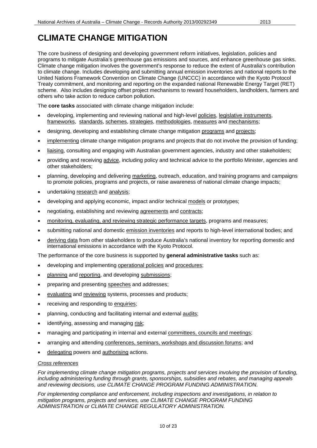# **CLIMATE CHANGE MITIGATION**

The core business of designing and developing government reform initiatives, legislation, policies and programs to mitigate Australia's greenhouse gas emissions and sources, and enhance greenhouse gas sinks. Climate change mitigation involves the government's response to reduce the extent of Australia's contribution to climate change. Includes developing and submitting annual emission inventories and national reports to the United Nations Framework Convention on Climate Change (UNCCC) in accordance with the Kyoto Protocol Treaty commitment, and monitoring and reporting on the expanded national Renewable Energy Target (RET) scheme. Also includes designing offset project mechanisms to reward householders, landholders, farmers and others who take action to reduce carbon pollution.

The **core tasks** associated with climate change mitigation include:

- developing, implementing and reviewing national and high-level policies, legislative instruments, frameworks, standards, schemes, strategies, methodologies, measures and mechanisms;
- designing, developing and establishing climate change mitigation programs and projects;
- implementing climate change mitigation programs and projects that do not involve the provision of funding;
- liaising, consulting and engaging with Australian government agencies, industry and other stakeholders;
- providing and receiving advice, including policy and technical advice to the portfolio Minister, agencies and other stakeholders;
- planning, developing and delivering marketing, outreach, education, and training programs and campaigns to promote policies, programs and projects, or raise awareness of national climate change impacts;
- undertaking research and analysis;
- developing and applying economic, impact and/or technical models or prototypes;
- negotiating, establishing and reviewing agreements and contracts;
- monitoring, evaluating, and reviewing strategic performance targets, programs and measures;
- submitting national and domestic emission inventories and reports to high-level international bodies; and
- deriving data from other stakeholders to produce Australia's national inventory for reporting domestic and international emissions in accordance with the Kyoto Protocol.

The performance of the core business is supported by **general administrative tasks** such as:

- developing and implementing operational policies and procedures;
- planning and reporting, and developing submissions;
- preparing and presenting speeches and addresses;
- evaluating and reviewing systems, processes and products;
- receiving and responding to enquiries;
- planning, conducting and facilitating internal and external audits;
- identifying, assessing and managing risk;
- managing and participating in internal and external committees, councils and meetings;
- arranging and attending conferences, seminars, workshops and discussion forums; and
- delegating powers and authorising actions.

#### *Cross references*

*For implementing climate change mitigation programs, projects and services involving the provision of funding, including administering funding through grants, sponsorships, subsidies and rebates, and managing appeals and reviewing decisions, use CLIMATE CHANGE PROGRAM FUNDING ADMINISTRATION.*

*For implementing compliance and enforcement, including inspections and investigations, in relation to mitigation programs, projects and services, use CLIMATE CHANGE PROGRAM FUNDING ADMINISTRATION or CLIMATE CHANGE REGULATORY ADMINISTRATION.*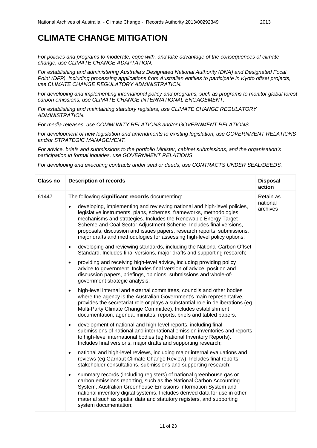#### **CLIMATE CHANGE MITIGATION**

*For policies and programs to moderate, cope with, and take advantage of the consequences of climate change, use CLIMATE CHANGE ADAPTATION.* 

*For establishing and administering Australia's Designated National Authority (DNA) and Designated Focal Point (DFP), including processing applications from Australian entities to participate in Kyoto offset projects, use CLIMATE CHANGE REGULATORY ADMINISTRATION.*

*For developing and implementing international policy and programs, such as programs to monitor global forest carbon emissions, use CLIMATE CHANGE INTERNATIONAL ENGAGEMENT.*

*For establishing and maintaining statutory registers, use CLIMATE CHANGE REGULATORY ADMINISTRATION.*

*For media releases, use COMMUNITY RELATIONS and/or GOVERNMENT RELATIONS.*

*For development of new legislation and amendments to existing legislation, use GOVERNMENT RELATIONS and/or STRATEGIC MANAGEMENT.*

*For advice, briefs and submissions to the portfolio Minister, cabinet submissions, and the organisation's participation in formal inquiries, use GOVERNMENT RELATIONS.*

| <b>Class no</b> | <b>Description of records</b>                                                                                                                                                                                                                                                                                                                                                                                                                               | <b>Disposal</b><br>action |
|-----------------|-------------------------------------------------------------------------------------------------------------------------------------------------------------------------------------------------------------------------------------------------------------------------------------------------------------------------------------------------------------------------------------------------------------------------------------------------------------|---------------------------|
| 61447           | The following significant records documenting:                                                                                                                                                                                                                                                                                                                                                                                                              | Retain as                 |
|                 | developing, implementing and reviewing national and high-level policies,<br>$\bullet$<br>legislative instruments, plans, schemes, frameworks, methodologies,<br>mechanisms and strategies. Includes the Renewable Energy Target<br>Scheme and Coal Sector Adjustment Scheme. Includes final versions,<br>proposals, discussion and issues papers, research reports, submissions,<br>major drafts and methodologies for assessing high-level policy options; | national<br>archives      |
|                 | developing and reviewing standards, including the National Carbon Offset<br>$\bullet$<br>Standard. Includes final versions, major drafts and supporting research;                                                                                                                                                                                                                                                                                           |                           |
|                 | providing and receiving high-level advice, including providing policy<br>$\bullet$<br>advice to government. Includes final version of advice, position and<br>discussion papers, briefings, opinions, submissions and whole-of-<br>government strategic analysis;                                                                                                                                                                                           |                           |
|                 | high-level internal and external committees, councils and other bodies<br>$\bullet$<br>where the agency is the Australian Government's main representative,<br>provides the secretariat role or plays a substantial role in deliberations (eg<br>Multi-Party Climate Change Committee). Includes establishment<br>documentation, agenda, minutes, reports, briefs and tabled papers.                                                                        |                           |
|                 | development of national and high-level reports, including final<br>$\bullet$<br>submissions of national and international emission inventories and reports<br>to high-level international bodies (eg National Inventory Reports).<br>Includes final versions, major drafts and supporting research;                                                                                                                                                         |                           |
|                 | national and high-level reviews, including major internal evaluations and<br>$\bullet$<br>reviews (eg Garnaut Climate Change Review). Includes final reports,<br>stakeholder consultations, submissions and supporting research;                                                                                                                                                                                                                            |                           |
|                 | summary records (including registers) of national greenhouse gas or<br>$\bullet$<br>carbon emissions reporting, such as the National Carbon Accounting<br>System, Australian Greenhouse Emissions Information System and<br>national inventory digital systems. Includes derived data for use in other<br>material such as spatial data and statutory registers, and supporting<br>system documentation;                                                    |                           |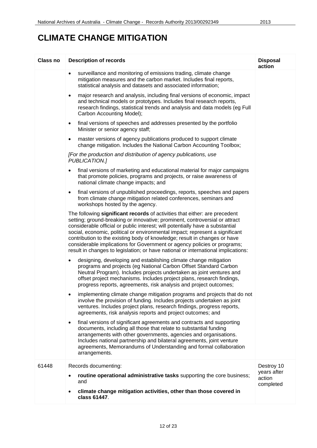# **CLIMATE CHANGE MITIGATION**

| <b>Class no</b> | <b>Description of records</b>                                                                                                                                                                                                                                                                                                                                                                                                                                                                                                                                            | <b>Disposal</b><br>action          |
|-----------------|--------------------------------------------------------------------------------------------------------------------------------------------------------------------------------------------------------------------------------------------------------------------------------------------------------------------------------------------------------------------------------------------------------------------------------------------------------------------------------------------------------------------------------------------------------------------------|------------------------------------|
|                 | surveillance and monitoring of emissions trading, climate change<br>$\bullet$<br>mitigation measures and the carbon market. Includes final reports,<br>statistical analysis and datasets and associated information;                                                                                                                                                                                                                                                                                                                                                     |                                    |
|                 | major research and analysis, including final versions of economic, impact<br>$\bullet$<br>and technical models or prototypes. Includes final research reports,<br>research findings, statistical trends and analysis and data models (eg Full<br>Carbon Accounting Model);                                                                                                                                                                                                                                                                                               |                                    |
|                 | final versions of speeches and addresses presented by the portfolio<br>$\bullet$<br>Minister or senior agency staff;                                                                                                                                                                                                                                                                                                                                                                                                                                                     |                                    |
|                 | master versions of agency publications produced to support climate<br>$\bullet$<br>change mitigation. Includes the National Carbon Accounting Toolbox;                                                                                                                                                                                                                                                                                                                                                                                                                   |                                    |
|                 | [For the production and distribution of agency publications, use<br>PUBLICATION.]                                                                                                                                                                                                                                                                                                                                                                                                                                                                                        |                                    |
|                 | final versions of marketing and educational material for major campaigns<br>$\bullet$<br>that promote policies, programs and projects, or raise awareness of<br>national climate change impacts; and                                                                                                                                                                                                                                                                                                                                                                     |                                    |
|                 | final versions of unpublished proceedings, reports, speeches and papers<br>$\bullet$<br>from climate change mitigation related conferences, seminars and<br>workshops hosted by the agency.                                                                                                                                                                                                                                                                                                                                                                              |                                    |
|                 | The following significant records of activities that either: are precedent<br>setting; ground-breaking or innovative; prominent, controversial or attract<br>considerable official or public interest; will potentially have a substantial<br>social, economic, political or environmental impact; represent a significant<br>contribution to the existing body of knowledge; result in changes or have<br>considerable implications for Government or agency policies or programs;<br>result in changes to legislation; or have national or international implications: |                                    |
|                 | designing, developing and establishing climate change mitigation<br>$\bullet$<br>programs and projects (eg National Carbon Offset Standard Carbon<br>Neutral Program). Includes projects undertaken as joint ventures and<br>offset project mechanisms. Includes project plans, research findings,<br>progress reports, agreements, risk analysis and project outcomes;                                                                                                                                                                                                  |                                    |
|                 | implementing climate change mitigation programs and projects that do not<br>involve the provision of funding. Includes projects undertaken as joint<br>ventures. Includes project plans, research findings, progress reports,<br>agreements, risk analysis reports and project outcomes; and                                                                                                                                                                                                                                                                             |                                    |
|                 | final versions of significant agreements and contracts and supporting<br>$\bullet$<br>documents, including all those that relate to substantial funding<br>arrangements with other governments, agencies and organisations.<br>Includes national partnership and bilateral agreements, joint venture<br>agreements, Memorandums of Understanding and formal collaboration<br>arrangements.                                                                                                                                                                               |                                    |
| 61448           | Records documenting:                                                                                                                                                                                                                                                                                                                                                                                                                                                                                                                                                     | Destroy 10                         |
|                 | routine operational administrative tasks supporting the core business;<br>and                                                                                                                                                                                                                                                                                                                                                                                                                                                                                            | years after<br>action<br>completed |
|                 | climate change mitigation activities, other than those covered in<br>class 61447.                                                                                                                                                                                                                                                                                                                                                                                                                                                                                        |                                    |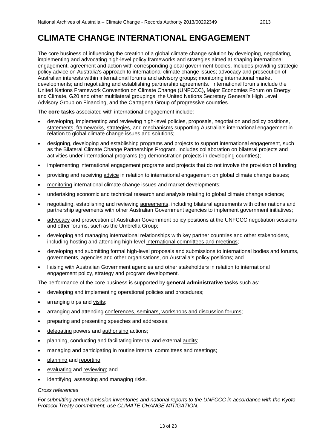The core business of influencing the creation of a global climate change solution by developing, negotiating, implementing and advocating high-level policy frameworks and strategies aimed at shaping international engagement, agreement and action with corresponding global government bodies. Includes providing strategic policy advice on Australia's approach to international climate change issues; advocacy and prosecution of Australian interests within international forums and advisory groups; monitoring international market developments; and negotiating and establishing partnership agreements. International forums include the United Nations Framework Convention on Climate Change (UNFCCC), Major Economies Forum on Energy and Climate, G20 and other multilateral groupings, the United Nations Secretary General's High Level Advisory Group on Financing, and the Cartagena Group of progressive countries.

The **core tasks** associated with international engagement include:

- developing, implementing and reviewing high-level policies, proposals, negotiation and policy positions, statements, frameworks, strategies, and mechanisms supporting Australia's international engagement in relation to global climate change issues and solutions;
- designing, developing and establishing programs and projects to support international engagement, such as the Bilateral Climate Change Partnerships Program. Includes collaboration on bilateral projects and activities under international programs (eg demonstration projects in developing countries);
- implementing international engagement programs and projects that do not involve the provision of funding;
- providing and receiving advice in relation to international engagement on global climate change issues;
- monitoring international climate change issues and market developments;
- undertaking economic and technical research and analysis relating to global climate change science;
- negotiating, establishing and reviewing agreements, including bilateral agreements with other nations and partnership agreements with other Australian Government agencies to implement government initiatives;
- advocacy and prosecution of Australian Government policy positions at the UNFCCC negotiation sessions and other forums, such as the Umbrella Group;
- developing and managing international relationships with key partner countries and other stakeholders, including hosting and attending high-level international committees and meetings;
- developing and submitting formal high-level proposals and submissions to international bodies and forums, governments, agencies and other organisations, on Australia's policy positions; and
- liaising with Australian Government agencies and other stakeholders in relation to international engagement policy, strategy and program development.

The performance of the core business is supported by **general administrative tasks** such as:

- developing and implementing operational policies and procedures;
- arranging trips and visits;
- arranging and attending conferences, seminars, workshops and discussion forums;
- preparing and presenting speeches and addresses;
- delegating powers and authorising actions;
- planning, conducting and facilitating internal and external audits;
- managing and participating in routine internal committees and meetings;
- planning and reporting;
- evaluating and reviewing; and
- identifying, assessing and managing risks.

#### *Cross references*

*For submitting annual emission inventories and national reports to the UNFCCC in accordance with the Kyoto Protocol Treaty commitment, use CLIMATE CHANGE MITIGATION.*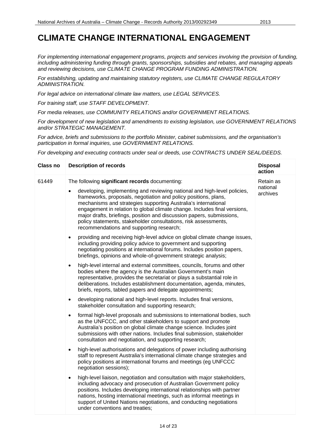*For implementing international engagement programs, projects and services involving the provision of funding, including administering funding through grants, sponsorships, subsidies and rebates, and managing appeals and reviewing decisions, use CLIMATE CHANGE PROGRAM FUNDING ADMINISTRATION.*

*For establishing, updating and maintaining statutory registers, use CLIMATE CHANGE REGULATORY ADMINISTRATION.*

*For legal advice on international climate law matters, use LEGAL SERVICES.*

*For training staff, use STAFF DEVELOPMENT.*

*For media releases, use COMMUNITY RELATIONS and/or GOVERNMENT RELATIONS.*

*For development of new legislation and amendments to existing legislation, use GOVERNMENT RELATIONS and/or STRATEGIC MANAGEMENT.*

*For advice, briefs and submissions to the portfolio Minister, cabinet submissions, and the organisation's participation in formal inquiries, use GOVERNMENT RELATIONS.*

| <b>Class no</b> | <b>Description of records</b>                                                                                                                                                                                                                                                                                                                                                                                                                                                                   | <b>Disposal</b><br>action |
|-----------------|-------------------------------------------------------------------------------------------------------------------------------------------------------------------------------------------------------------------------------------------------------------------------------------------------------------------------------------------------------------------------------------------------------------------------------------------------------------------------------------------------|---------------------------|
| 61449           | The following significant records documenting:                                                                                                                                                                                                                                                                                                                                                                                                                                                  | Retain as                 |
|                 | developing, implementing and reviewing national and high-level policies,<br>$\bullet$<br>frameworks, proposals, negotiation and policy positions, plans,<br>mechanisms and strategies supporting Australia's international<br>engagement in relation to global climate change. Includes final versions,<br>major drafts, briefings, position and discussion papers, submissions,<br>policy statements, stakeholder consultations, risk assessments,<br>recommendations and supporting research; | national<br>archives      |
|                 | providing and receiving high-level advice on global climate change issues,<br>$\bullet$<br>including providing policy advice to government and supporting<br>negotiating positions at international forums. Includes position papers,<br>briefings, opinions and whole-of-government strategic analysis;                                                                                                                                                                                        |                           |
|                 | high-level internal and external committees, councils, forums and other<br>$\bullet$<br>bodies where the agency is the Australian Government's main<br>representative, provides the secretariat or plays a substantial role in<br>deliberations. Includes establishment documentation, agenda, minutes,<br>briefs, reports, tabled papers and delegate appointments;                                                                                                                            |                           |
|                 | developing national and high-level reports. Includes final versions,<br>$\bullet$<br>stakeholder consultation and supporting research;                                                                                                                                                                                                                                                                                                                                                          |                           |
|                 | formal high-level proposals and submissions to international bodies, such<br>$\bullet$<br>as the UNFCCC, and other stakeholders to support and promote<br>Australia's position on global climate change science. Includes joint<br>submissions with other nations. Includes final submission, stakeholder<br>consultation and negotiation, and supporting research;                                                                                                                             |                           |
|                 | high-level authorisations and delegations of power including authorising<br>$\bullet$<br>staff to represent Australia's international climate change strategies and<br>policy positions at international forums and meetings (eg UNFCCC<br>negotiation sessions);                                                                                                                                                                                                                               |                           |
|                 | high-level liaison, negotiation and consultation with major stakeholders,<br>$\bullet$<br>including advocacy and prosecution of Australian Government policy<br>positions. Includes developing international relationships with partner<br>nations, hosting international meetings, such as informal meetings in<br>support of United Nations negotiations, and conducting negotiations<br>under conventions and treaties;                                                                      |                           |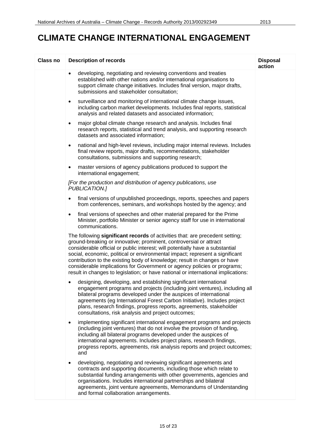| <b>Class no</b> | <b>Description of records</b>                                                                                                                                                                                                                                                                                                                                                                                                                                                                                                                                     | <b>Disposal</b><br>action |
|-----------------|-------------------------------------------------------------------------------------------------------------------------------------------------------------------------------------------------------------------------------------------------------------------------------------------------------------------------------------------------------------------------------------------------------------------------------------------------------------------------------------------------------------------------------------------------------------------|---------------------------|
|                 | developing, negotiating and reviewing conventions and treaties<br>$\bullet$<br>established with other nations and/or international organisations to<br>support climate change initiatives. Includes final version, major drafts,<br>submissions and stakeholder consultation;                                                                                                                                                                                                                                                                                     |                           |
|                 | surveillance and monitoring of international climate change issues,<br>$\bullet$<br>including carbon market developments. Includes final reports, statistical<br>analysis and related datasets and associated information;                                                                                                                                                                                                                                                                                                                                        |                           |
|                 | major global climate change research and analysis. Includes final<br>$\bullet$<br>research reports, statistical and trend analysis, and supporting research<br>datasets and associated information;                                                                                                                                                                                                                                                                                                                                                               |                           |
|                 | national and high-level reviews, including major internal reviews. Includes<br>$\bullet$<br>final review reports, major drafts, recommendations, stakeholder<br>consultations, submissions and supporting research;                                                                                                                                                                                                                                                                                                                                               |                           |
|                 | master versions of agency publications produced to support the<br>$\bullet$<br>international engagement;                                                                                                                                                                                                                                                                                                                                                                                                                                                          |                           |
|                 | [For the production and distribution of agency publications, use<br>PUBLICATION.]                                                                                                                                                                                                                                                                                                                                                                                                                                                                                 |                           |
|                 | final versions of unpublished proceedings, reports, speeches and papers<br>from conferences, seminars, and workshops hosted by the agency; and                                                                                                                                                                                                                                                                                                                                                                                                                    |                           |
|                 | final versions of speeches and other material prepared for the Prime<br>$\bullet$<br>Minister, portfolio Minister or senior agency staff for use in international<br>communications.                                                                                                                                                                                                                                                                                                                                                                              |                           |
|                 | The following significant records of activities that: are precedent setting;<br>ground-breaking or innovative; prominent, controversial or attract<br>considerable official or public interest; will potentially have a substantial<br>social, economic, political or environmental impact; represent a significant<br>contribution to the existing body of knowledge; result in changes or have<br>considerable implications for Government or agency policies or programs;<br>result in changes to legislation; or have national or international implications: |                           |
|                 | designing, developing, and establishing significant international<br>engagement programs and projects (including joint ventures), including all<br>bilateral programs developed under the auspices of international<br>agreements (eg International Forest Carbon Initiative). Includes project<br>plans, research findings, progress reports, agreements, stakeholder<br>consultations, risk analysis and project outcomes;                                                                                                                                      |                           |
|                 | implementing significant international engagement programs and projects<br>$\bullet$<br>(including joint ventures) that do not involve the provision of funding,<br>including all bilateral programs developed under the auspices of<br>international agreements. Includes project plans, research findings,<br>progress reports, agreements, risk analysis reports and project outcomes;<br>and                                                                                                                                                                  |                           |
|                 | developing, negotiating and reviewing significant agreements and<br>$\bullet$<br>contracts and supporting documents, including those which relate to<br>substantial funding arrangements with other governments, agencies and<br>organisations. Includes international partnerships and bilateral<br>agreements, joint venture agreements, Memorandums of Understanding<br>and formal collaboration arrangements.                                                                                                                                                 |                           |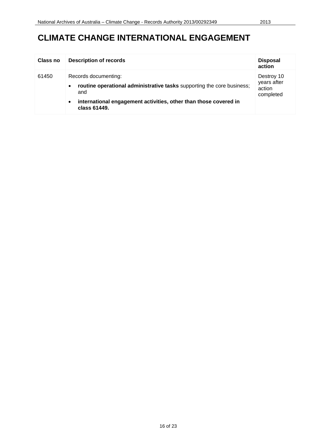| <b>Class no</b> | <b>Description of records</b>                                                                                                                                                                                       | <b>Disposal</b><br>action                        |
|-----------------|---------------------------------------------------------------------------------------------------------------------------------------------------------------------------------------------------------------------|--------------------------------------------------|
| 61450           | Records documenting:<br>routine operational administrative tasks supporting the core business;<br>$\bullet$<br>and<br>international engagement activities, other than those covered in<br>$\bullet$<br>class 61449. | Destroy 10<br>years after<br>action<br>completed |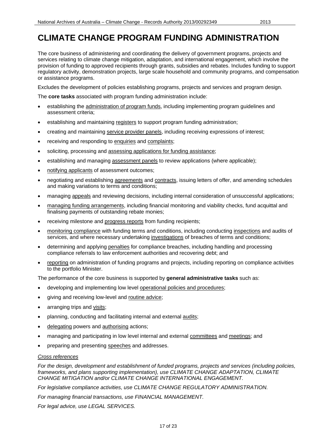#### **CLIMATE CHANGE PROGRAM FUNDING ADMINISTRATION**

The core business of administering and coordinating the delivery of government programs, projects and services relating to climate change mitigation, adaptation, and international engagement, which involve the provision of funding to approved recipients through grants, subsidies and rebates. Includes funding to support regulatory activity, demonstration projects, large scale household and community programs, and compensation or assistance programs.

Excludes the development of policies establishing programs, projects and services and program design.

The **core tasks** associated with program funding administration include:

- establishing the administration of program funds, including implementing program guidelines and assessment criteria;
- establishing and maintaining registers to support program funding administration;
- creating and maintaining service provider panels, including receiving expressions of interest;
- receiving and responding to enquiries and complaints;
- soliciting, processing and assessing applications for funding assistance;
- establishing and managing assessment panels to review applications (where applicable);
- notifying applicants of assessment outcomes;
- negotiating and establishing agreements and contracts, issuing letters of offer, and amending schedules and making variations to terms and conditions;
- managing appeals and reviewing decisions, including internal consideration of unsuccessful applications;
- managing funding arrangements, including financial monitoring and viability checks, fund acquittal and finalising payments of outstanding rebate monies;
- receiving milestone and progress reports from funding recipients;
- monitoring compliance with funding terms and conditions, including conducting inspections and audits of services, and where necessary undertaking investigations of breaches of terms and conditions;
- determining and applying penalties for compliance breaches, including handling and processing compliance referrals to law enforcement authorities and recovering debt; and
- reporting on administration of funding programs and projects, including reporting on compliance activities to the portfolio Minister.

The performance of the core business is supported by **general administrative tasks** such as:

- developing and implementing low level operational policies and procedures;
- giving and receiving low-level and routine advice;
- arranging trips and visits;
- planning, conducting and facilitating internal and external audits;
- delegating powers and **authorising** actions;
- managing and participating in low level internal and external committees and meetings; and
- preparing and presenting speeches and addresses.

#### *Cross references*

*For the design, development and establishment of funded programs, projects and services (including policies, frameworks, and plans supporting implementation), use CLIMATE CHANGE ADAPTATION, CLIMATE CHANGE MITIGATION and/or CLIMATE CHANGE INTERNATIONAL ENGAGEMENT.*

*For legislative compliance activities, use CLIMATE CHANGE REGULATORY ADMINISTRATION.*

*For managing financial transactions, use FINANCIAL MANAGEMENT.*

*For legal advice, use LEGAL SERVICES.*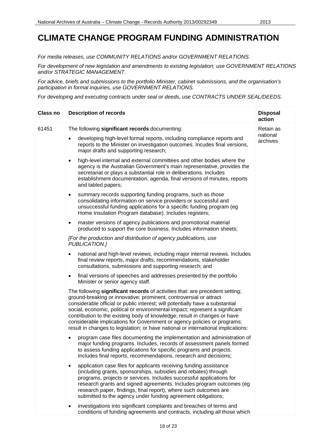#### **CLIMATE CHANGE PROGRAM FUNDING ADMINISTRATION**

*For media releases, use COMMUNITY RELATIONS and/or GOVERNMENT RELATIONS.*

*For development of new legislation and amendments to existing legislation, use GOVERNMENT RELATIONS and/or STRATEGIC MANAGEMENT.*

*For advice, briefs and submissions to the portfolio Minister, cabinet submissions, and the organisation's participation in formal inquiries, use GOVERNMENT RELATIONS.*

| <b>Class no</b> | <b>Description of records</b>                                                                                                                                                                                                                                                                                                                                                                                                                                                                                                                                     | <b>Disposal</b><br>action |
|-----------------|-------------------------------------------------------------------------------------------------------------------------------------------------------------------------------------------------------------------------------------------------------------------------------------------------------------------------------------------------------------------------------------------------------------------------------------------------------------------------------------------------------------------------------------------------------------------|---------------------------|
| 61451           | The following significant records documenting:                                                                                                                                                                                                                                                                                                                                                                                                                                                                                                                    | Retain as                 |
|                 | developing high-level formal reports, including compliance reports and<br>$\bullet$<br>reports to the Minister on investigation outcomes. Incudes final versions,<br>major drafts and supporting research;                                                                                                                                                                                                                                                                                                                                                        | national<br>archives      |
|                 | high-level internal and external committees and other bodies where the<br>٠<br>agency is the Australian Government's main representative, provides the<br>secretariat or plays a substantial role in deliberations. Includes<br>establishment documentation, agenda, final versions of minutes, reports<br>and tabled papers;                                                                                                                                                                                                                                     |                           |
|                 | summary records supporting funding programs, such as those<br>$\bullet$<br>consolidating information on service providers or successful and<br>unsuccessful funding applications for a specific funding program (eg<br>Home Insulation Program database). Includes registers;                                                                                                                                                                                                                                                                                     |                           |
|                 | master versions of agency publications and promotional material<br>$\bullet$<br>produced to support the core business. Includes information sheets;                                                                                                                                                                                                                                                                                                                                                                                                               |                           |
|                 | [For the production and distribution of agency publications, use<br>PUBLICATION.]                                                                                                                                                                                                                                                                                                                                                                                                                                                                                 |                           |
|                 | national and high-level reviews, including major internal reviews. Includes<br>$\bullet$<br>final review reports, major drafts, recommendations, stakeholder<br>consultations, submissions and supporting research; and                                                                                                                                                                                                                                                                                                                                           |                           |
|                 | final versions of speeches and addresses presented by the portfolio<br>$\bullet$<br>Minister or senior agency staff.                                                                                                                                                                                                                                                                                                                                                                                                                                              |                           |
|                 | The following significant records of activities that: are precedent setting;<br>ground-breaking or innovative; prominent, controversial or attract<br>considerable official or public interest; will potentially have a substantial<br>social, economic, political or environmental impact; represent a significant<br>contribution to the existing body of knowledge; result in changes or have<br>considerable implications for Government or agency policies or programs;<br>result in changes to legislation; or have national or international implications: |                           |
|                 | program case files documenting the implementation and administration of<br>major funding programs. Includes, records of assessment panels formed<br>to assess funding applications for specific programs and projects.<br>Includes final reports, recommendations, research and decisions;                                                                                                                                                                                                                                                                        |                           |
|                 | application case files for applicants receiving funding assistance<br>(including grants, sponsorships, subsidies and rebates) through<br>programs, projects or services. Includes successful applications for<br>research grants and signed agreements. Includes program outcomes (eg<br>research paper, findings, final report), where such outcomes are<br>submitted to the agency under funding agreement obligations;                                                                                                                                         |                           |
|                 | investigations into significant complaints and breaches of terms and<br>conditions of funding agreements and contracts, including all those which                                                                                                                                                                                                                                                                                                                                                                                                                 |                           |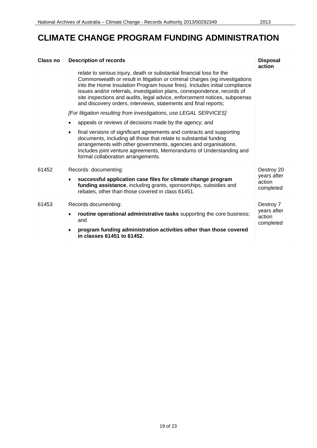# **CLIMATE CHANGE PROGRAM FUNDING ADMINISTRATION**

| Class no | <b>Description of records</b>                                                                                                                                                                                                                                                                                                                                                                                                                                  | <b>Disposal</b><br>action          |
|----------|----------------------------------------------------------------------------------------------------------------------------------------------------------------------------------------------------------------------------------------------------------------------------------------------------------------------------------------------------------------------------------------------------------------------------------------------------------------|------------------------------------|
|          | relate to serious injury, death or substantial financial loss for the<br>Commonwealth or result in litigation or criminal charges (eg investigations<br>into the Home Insulation Program house fires). Includes initial compliance<br>issues and/or referrals, investigation plans, correspondence, records of<br>site inspections and audits, legal advice, enforcement notices, subpoenas<br>and discovery orders, interviews, statements and final reports; |                                    |
|          | [For litigation resulting from investigations, use LEGAL SERVICES]<br>appeals or reviews of decisions made by the agency; and                                                                                                                                                                                                                                                                                                                                  |                                    |
|          |                                                                                                                                                                                                                                                                                                                                                                                                                                                                |                                    |
|          | final versions of significant agreements and contracts and supporting<br>٠<br>documents, including all those that relate to substantial funding<br>arrangements with other governments, agencies and organisations.<br>Includes joint venture agreements, Memorandums of Understanding and<br>formal collaboration arrangements.                                                                                                                               |                                    |
| 61452    | Records documenting:                                                                                                                                                                                                                                                                                                                                                                                                                                           | Destroy 20                         |
|          | successful application case files for climate change program<br>$\bullet$<br>funding assistance, including grants, sponsorships, subsidies and<br>rebates, other than those covered in class 61451.                                                                                                                                                                                                                                                            | years after<br>action<br>completed |
| 61453    | Records documenting:                                                                                                                                                                                                                                                                                                                                                                                                                                           | Destroy 7                          |
|          | routine operational administrative tasks supporting the core business;<br>and                                                                                                                                                                                                                                                                                                                                                                                  | years after<br>action<br>completed |
|          | program funding administration activities other than those covered<br>in classes 61451 to 61452.                                                                                                                                                                                                                                                                                                                                                               |                                    |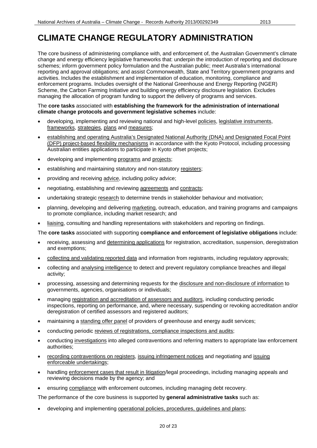The core business of administering compliance with, and enforcement of, the Australian Government's climate change and energy efficiency legislative frameworks that: underpin the introduction of reporting and disclosure schemes; inform government policy formulation and the Australian public; meet Australia's international reporting and approval obligations; and assist Commonwealth, State and Territory government programs and activities. Includes the establishment and implementation of education, monitoring, compliance and enforcement programs. Includes oversight of the National Greenhouse and Energy Reporting (NGER) Scheme, the Carbon Farming Initiative and building energy efficiency disclosure legislation. Excludes managing the allocation of program funding to support the delivery of programs and services.

#### The **core tasks** associated with **establishing the framework for the administration of international climate change protocols and government legislative schemes** include:

- developing, implementing and reviewing national and high-level policies, legislative instruments, frameworks, strategies, plans and measures;
- establishing and operating Australia's Designated National Authority (DNA) and Designated Focal Point (DFP) project-based flexibility mechanisms in accordance with the Kyoto Protocol, including processing Australian entities applications to participate in Kyoto offset projects;
- developing and implementing programs and projects;
- establishing and maintaining statutory and non-statutory registers;
- providing and receiving advice, including policy advice;
- negotiating, establishing and reviewing agreements and contracts;
- undertaking strategic research to determine trends in stakeholder behaviour and motivation;
- planning, developing and delivering marketing, outreach, education, and training programs and campaigns to promote compliance, including market research; and
- liaising, consulting and handling representations with stakeholders and reporting on findings.

The **core tasks** associated with supporting **compliance and enforcement of legislative obligations** include:

- receiving, assessing and determining applications for registration, accreditation, suspension, deregistration and exemptions;
- collecting and validating reported data and information from registrants, including regulatory approvals;
- collecting and analysing intelligence to detect and prevent regulatory compliance breaches and illegal activity;
- processing, assessing and determining requests for the disclosure and non-disclosure of information to governments, agencies, organisations or individuals;
- managing registration and accreditation of assessors and auditors, including conducting periodic inspections, reporting on performance, and, where necessary, suspending or revoking accreditation and/or deregistration of certified assessors and registered auditors;
- maintaining a standing offer panel of providers of greenhouse and energy audit services;
- conducting periodic reviews of registrations, compliance inspections and audits;
- conducting investigations into alleged contraventions and referring matters to appropriate law enforcement authorities;
- recording contraventions on registers, issuing infringement notices and negotiating and issuing enforceable undertakings;
- handling enforcement cases that result in litigation/legal proceedings, including managing appeals and reviewing decisions made by the agency; and
- ensuring compliance with enforcement outcomes, including managing debt recovery.

The performance of the core business is supported by **general administrative tasks** such as:

• developing and implementing operational policies, procedures, guidelines and plans;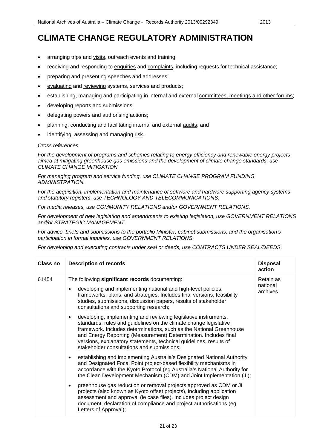- arranging trips and visits, outreach events and training;
- receiving and responding to enquiries and complaints, including requests for technical assistance;
- preparing and presenting speeches and addresses;
- evaluating and reviewing systems, services and products;
- establishing, managing and participating in internal and external committees, meetings and other forums;
- developing reports and submissions;
- delegating powers and authorising actions;
- planning, conducting and facilitating internal and external audits; and
- identifying, assessing and managing risk.

#### *Cross references*

*For the development of programs and schemes relating to energy efficiency and renewable energy projects aimed at mitigating greenhouse gas emissions and the development of climate change standards, use CLIMATE CHANGE MITIGATION.*

*For managing program and service funding, use CLIMATE CHANGE PROGRAM FUNDING ADMINISTRATION.* 

*For the acquisition, implementation and maintenance of software and hardware supporting agency systems and statutory registers, use TECHNOLOGY AND TELECOMMUNICATIONS.*

*For media releases, use COMMUNITY RELATIONS and/or GOVERNMENT RELATIONS.*

*For development of new legislation and amendments to existing legislation, use GOVERNMENT RELATIONS and/or STRATEGIC MANAGEMENT.*

*For advice, briefs and submissions to the portfolio Minister, cabinet submissions, and the organisation's participation in formal inquiries, use GOVERNMENT RELATIONS.*

| <b>Class no</b> | <b>Description of records</b>                                                                                                                                                                                                                                                                                                                                                                                    | <b>Disposal</b><br>action         |
|-----------------|------------------------------------------------------------------------------------------------------------------------------------------------------------------------------------------------------------------------------------------------------------------------------------------------------------------------------------------------------------------------------------------------------------------|-----------------------------------|
| 61454           | The following significant records documenting:                                                                                                                                                                                                                                                                                                                                                                   | Retain as<br>national<br>archives |
|                 | developing and implementing national and high-level policies,<br>$\bullet$<br>frameworks, plans, and strategies. Includes final versions, feasibility<br>studies, submissions, discussion papers, results of stakeholder<br>consultations and supporting research;                                                                                                                                               |                                   |
|                 | developing, implementing and reviewing legislative instruments,<br>$\bullet$<br>standards, rules and guidelines on the climate change legislative<br>framework. Includes determinations, such as the National Greenhouse<br>and Energy Reporting (Measurement) Determination. Includes final<br>versions, explanatory statements, technical guidelines, results of<br>stakeholder consultations and submissions; |                                   |
|                 | establishing and implementing Australia's Designated National Authority<br>$\bullet$<br>and Designated Focal Point project-based flexibility mechanisms in<br>accordance with the Kyoto Protocol (eg Australia's National Authority for<br>the Clean Development Mechanism (CDM) and Joint Implementation (JI);                                                                                                  |                                   |
|                 | greenhouse gas reduction or removal projects approved as CDM or JI<br>$\bullet$<br>projects (also known as Kyoto offset projects), including application<br>assessment and approval (ie case files). Includes project design<br>document, declaration of compliance and project authorisations (eg<br>Letters of Approval);                                                                                      |                                   |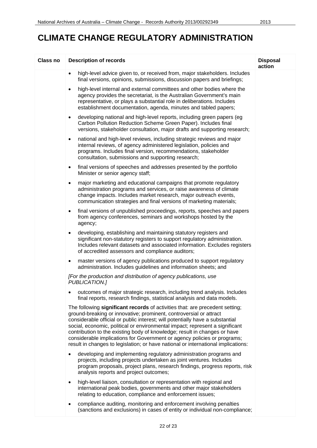| <b>Class no</b> | <b>Description of records</b>                                                                                                                                                                                                                                                                                                                                                                                                                                                                                                                                     | <b>Disposal</b><br>action |
|-----------------|-------------------------------------------------------------------------------------------------------------------------------------------------------------------------------------------------------------------------------------------------------------------------------------------------------------------------------------------------------------------------------------------------------------------------------------------------------------------------------------------------------------------------------------------------------------------|---------------------------|
|                 | high-level advice given to, or received from, major stakeholders. Includes<br>$\bullet$<br>final versions, opinions, submissions, discussion papers and briefings;                                                                                                                                                                                                                                                                                                                                                                                                |                           |
|                 | high-level internal and external committees and other bodies where the<br>$\bullet$<br>agency provides the secretariat, is the Australian Government's main<br>representative, or plays a substantial role in deliberations. Includes<br>establishment documentation, agenda, minutes and tabled papers;                                                                                                                                                                                                                                                          |                           |
|                 | developing national and high-level reports, including green papers (eg<br>$\bullet$<br>Carbon Pollution Reduction Scheme Green Paper). Includes final<br>versions, stakeholder consultation, major drafts and supporting research;                                                                                                                                                                                                                                                                                                                                |                           |
|                 | national and high-level reviews, including strategic reviews and major<br>$\bullet$<br>internal reviews, of agency administered legislation, policies and<br>programs. Includes final version, recommendations, stakeholder<br>consultation, submissions and supporting research;                                                                                                                                                                                                                                                                                 |                           |
|                 | final versions of speeches and addresses presented by the portfolio<br>$\bullet$<br>Minister or senior agency staff;                                                                                                                                                                                                                                                                                                                                                                                                                                              |                           |
|                 | major marketing and educational campaigns that promote regulatory<br>$\bullet$<br>administration programs and services, or raise awareness of climate<br>change impacts. Includes market research, major outreach events,<br>communication strategies and final versions of marketing materials;                                                                                                                                                                                                                                                                  |                           |
|                 | final versions of unpublished proceedings, reports, speeches and papers<br>$\bullet$<br>from agency conferences, seminars and workshops hosted by the<br>agency;                                                                                                                                                                                                                                                                                                                                                                                                  |                           |
|                 | developing, establishing and maintaining statutory registers and<br>٠<br>significant non-statutory registers to support regulatory administration.<br>Includes relevant datasets and associated information. Excludes registers<br>of accredited assessors and compliance auditors;                                                                                                                                                                                                                                                                               |                           |
|                 | master versions of agency publications produced to support regulatory<br>$\bullet$<br>administration. Includes guidelines and information sheets; and                                                                                                                                                                                                                                                                                                                                                                                                             |                           |
|                 | [For the production and distribution of agency publications, use<br>PUBLICATION.]                                                                                                                                                                                                                                                                                                                                                                                                                                                                                 |                           |
|                 | outcomes of major strategic research, including trend analysis. Includes<br>final reports, research findings, statistical analysis and data models.                                                                                                                                                                                                                                                                                                                                                                                                               |                           |
|                 | The following significant records of activities that: are precedent setting;<br>ground-breaking or innovative; prominent, controversial or attract<br>considerable official or public interest; will potentially have a substantial<br>social, economic, political or environmental impact; represent a significant<br>contribution to the existing body of knowledge; result in changes or have<br>considerable implications for Government or agency policies or programs;<br>result in changes to legislation; or have national or international implications: |                           |
|                 | developing and implementing regulatory administration programs and<br>$\bullet$<br>projects, including projects undertaken as joint ventures. Includes<br>program proposals, project plans, research findings, progress reports, risk<br>analysis reports and project outcomes;                                                                                                                                                                                                                                                                                   |                           |
|                 | high-level liaison, consultation or representation with regional and<br>$\bullet$<br>international peak bodies, governments and other major stakeholders<br>relating to education, compliance and enforcement issues;                                                                                                                                                                                                                                                                                                                                             |                           |
|                 | compliance auditing, monitoring and enforcement involving penalties<br>(sanctions and exclusions) in cases of entity or individual non-compliance;                                                                                                                                                                                                                                                                                                                                                                                                                |                           |